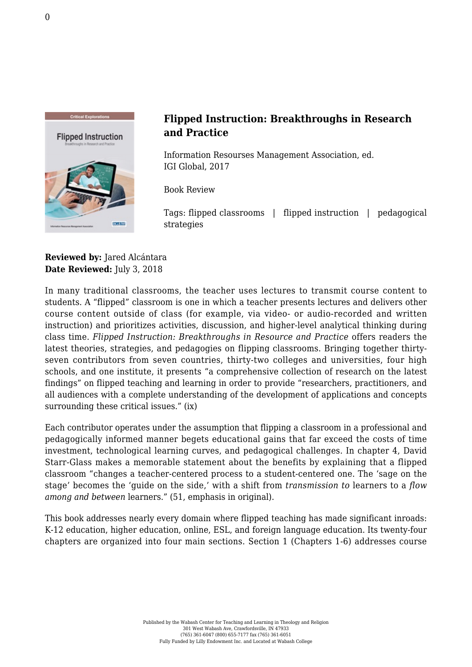

## **Flipped Instruction: Breakthroughs in Research and Practice**

Information Resourses Management Association, ed. [IGI Global, 2017](http://www.igi-global.com/book/flipped-instruction-breakthroughs-research-practice/165958)

Book Review

Tags: flipped classrooms | flipped instruction | pedagogical strategies

## **Reviewed by:** Jared Alcántara **Date Reviewed:** July 3, 2018

In many traditional classrooms, the teacher uses lectures to transmit course content to students. A "flipped" classroom is one in which a teacher presents lectures and delivers other course content outside of class (for example, via video- or audio-recorded and written instruction) and prioritizes activities, discussion, and higher-level analytical thinking during class time. *Flipped Instruction: Breakthroughs in Resource and Practice* offers readers the latest theories, strategies, and pedagogies on flipping classrooms. Bringing together thirtyseven contributors from seven countries, thirty-two colleges and universities, four high schools, and one institute, it presents "a comprehensive collection of research on the latest findings" on flipped teaching and learning in order to provide "researchers, practitioners, and all audiences with a complete understanding of the development of applications and concepts surrounding these critical issues." (ix)

Each contributor operates under the assumption that flipping a classroom in a professional and pedagogically informed manner begets educational gains that far exceed the costs of time investment, technological learning curves, and pedagogical challenges. In chapter 4, David Starr-Glass makes a memorable statement about the benefits by explaining that a flipped classroom "changes a teacher-centered process to a student-centered one. The 'sage on the stage' becomes the 'guide on the side,' with a shift from *transmission to* learners to a *flow among and between* learners." (51, emphasis in original).

This book addresses nearly every domain where flipped teaching has made significant inroads: K-12 education, higher education, online, ESL, and foreign language education. Its twenty-four chapters are organized into four main sections. Section 1 (Chapters 1-6) addresses course